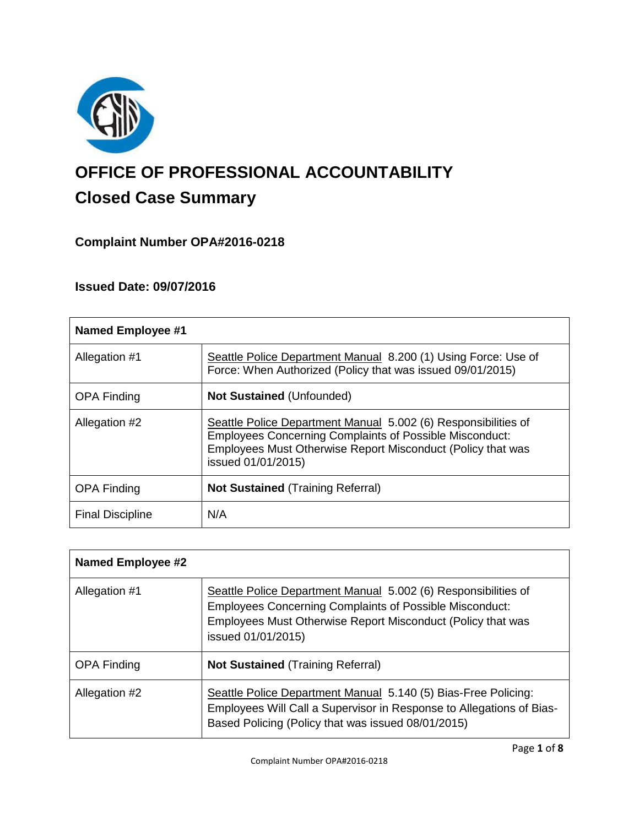

# **OFFICE OF PROFESSIONAL ACCOUNTABILITY Closed Case Summary**

# **Complaint Number OPA#2016-0218**

# **Issued Date: 09/07/2016**

| <b>Named Employee #1</b> |                                                                                                                                                                                                                       |
|--------------------------|-----------------------------------------------------------------------------------------------------------------------------------------------------------------------------------------------------------------------|
| Allegation #1            | Seattle Police Department Manual 8.200 (1) Using Force: Use of<br>Force: When Authorized (Policy that was issued 09/01/2015)                                                                                          |
| <b>OPA Finding</b>       | <b>Not Sustained (Unfounded)</b>                                                                                                                                                                                      |
| Allegation #2            | Seattle Police Department Manual 5.002 (6) Responsibilities of<br><b>Employees Concerning Complaints of Possible Misconduct:</b><br>Employees Must Otherwise Report Misconduct (Policy that was<br>issued 01/01/2015) |
| <b>OPA Finding</b>       | <b>Not Sustained (Training Referral)</b>                                                                                                                                                                              |
| <b>Final Discipline</b>  | N/A                                                                                                                                                                                                                   |

| <b>Named Employee #2</b> |                                                                                                                                                                                                                       |
|--------------------------|-----------------------------------------------------------------------------------------------------------------------------------------------------------------------------------------------------------------------|
| Allegation #1            | Seattle Police Department Manual 5.002 (6) Responsibilities of<br><b>Employees Concerning Complaints of Possible Misconduct:</b><br>Employees Must Otherwise Report Misconduct (Policy that was<br>issued 01/01/2015) |
| <b>OPA Finding</b>       | <b>Not Sustained (Training Referral)</b>                                                                                                                                                                              |
| Allegation #2            | Seattle Police Department Manual 5.140 (5) Bias-Free Policing:<br>Employees Will Call a Supervisor in Response to Allegations of Bias-<br>Based Policing (Policy that was issued 08/01/2015)                          |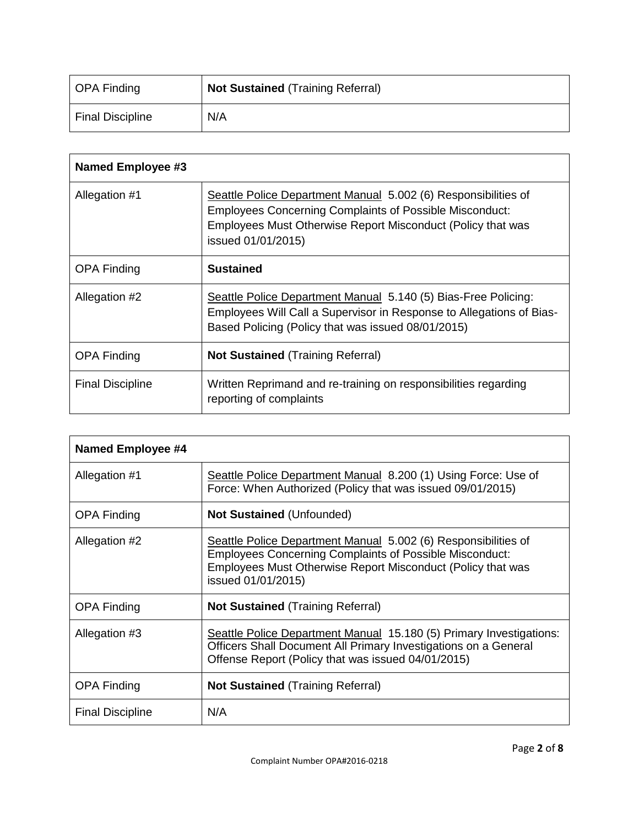| OPA Finding      | <b>Not Sustained (Training Referral)</b> |
|------------------|------------------------------------------|
| Final Discipline | N/A                                      |

| <b>Named Employee #3</b> |                                                                                                                                                                                                                       |
|--------------------------|-----------------------------------------------------------------------------------------------------------------------------------------------------------------------------------------------------------------------|
| Allegation #1            | Seattle Police Department Manual 5.002 (6) Responsibilities of<br><b>Employees Concerning Complaints of Possible Misconduct:</b><br>Employees Must Otherwise Report Misconduct (Policy that was<br>issued 01/01/2015) |
| <b>OPA Finding</b>       | <b>Sustained</b>                                                                                                                                                                                                      |
| Allegation #2            | Seattle Police Department Manual 5.140 (5) Bias-Free Policing:<br>Employees Will Call a Supervisor in Response to Allegations of Bias-<br>Based Policing (Policy that was issued 08/01/2015)                          |
| <b>OPA Finding</b>       | <b>Not Sustained (Training Referral)</b>                                                                                                                                                                              |
| <b>Final Discipline</b>  | Written Reprimand and re-training on responsibilities regarding<br>reporting of complaints                                                                                                                            |

| Named Employee #4       |                                                                                                                                                                                                                       |
|-------------------------|-----------------------------------------------------------------------------------------------------------------------------------------------------------------------------------------------------------------------|
| Allegation #1           | Seattle Police Department Manual 8.200 (1) Using Force: Use of<br>Force: When Authorized (Policy that was issued 09/01/2015)                                                                                          |
| <b>OPA Finding</b>      | <b>Not Sustained (Unfounded)</b>                                                                                                                                                                                      |
| Allegation #2           | Seattle Police Department Manual 5.002 (6) Responsibilities of<br><b>Employees Concerning Complaints of Possible Misconduct:</b><br>Employees Must Otherwise Report Misconduct (Policy that was<br>issued 01/01/2015) |
| <b>OPA Finding</b>      | <b>Not Sustained (Training Referral)</b>                                                                                                                                                                              |
| Allegation #3           | Seattle Police Department Manual 15.180 (5) Primary Investigations:<br>Officers Shall Document All Primary Investigations on a General<br>Offense Report (Policy that was issued 04/01/2015)                          |
| <b>OPA Finding</b>      | <b>Not Sustained (Training Referral)</b>                                                                                                                                                                              |
| <b>Final Discipline</b> | N/A                                                                                                                                                                                                                   |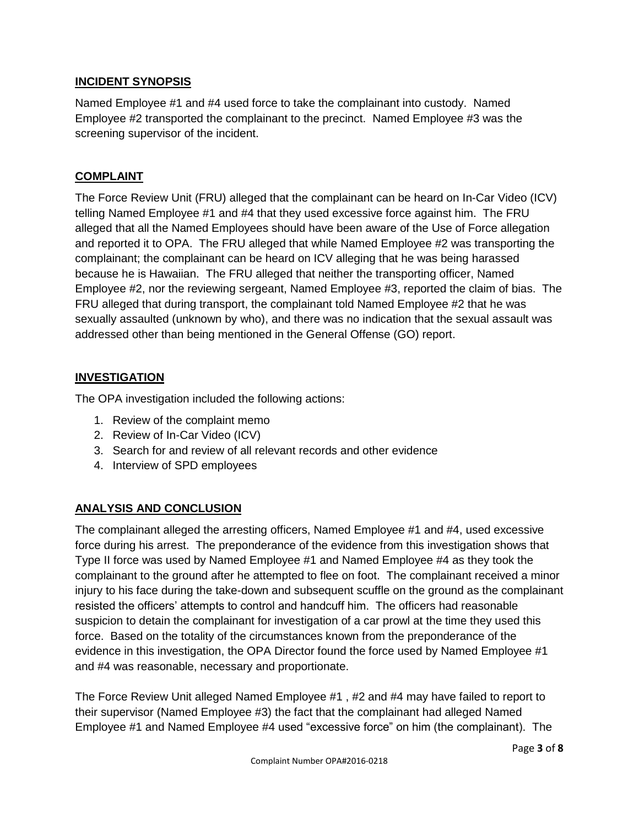# **INCIDENT SYNOPSIS**

Named Employee #1 and #4 used force to take the complainant into custody. Named Employee #2 transported the complainant to the precinct. Named Employee #3 was the screening supervisor of the incident.

# **COMPLAINT**

The Force Review Unit (FRU) alleged that the complainant can be heard on In-Car Video (ICV) telling Named Employee #1 and #4 that they used excessive force against him. The FRU alleged that all the Named Employees should have been aware of the Use of Force allegation and reported it to OPA. The FRU alleged that while Named Employee #2 was transporting the complainant; the complainant can be heard on ICV alleging that he was being harassed because he is Hawaiian. The FRU alleged that neither the transporting officer, Named Employee #2, nor the reviewing sergeant, Named Employee #3, reported the claim of bias. The FRU alleged that during transport, the complainant told Named Employee #2 that he was sexually assaulted (unknown by who), and there was no indication that the sexual assault was addressed other than being mentioned in the General Offense (GO) report.

# **INVESTIGATION**

The OPA investigation included the following actions:

- 1. Review of the complaint memo
- 2. Review of In-Car Video (ICV)
- 3. Search for and review of all relevant records and other evidence
- 4. Interview of SPD employees

# **ANALYSIS AND CONCLUSION**

The complainant alleged the arresting officers, Named Employee #1 and #4, used excessive force during his arrest. The preponderance of the evidence from this investigation shows that Type II force was used by Named Employee #1 and Named Employee #4 as they took the complainant to the ground after he attempted to flee on foot. The complainant received a minor injury to his face during the take-down and subsequent scuffle on the ground as the complainant resisted the officers' attempts to control and handcuff him. The officers had reasonable suspicion to detain the complainant for investigation of a car prowl at the time they used this force. Based on the totality of the circumstances known from the preponderance of the evidence in this investigation, the OPA Director found the force used by Named Employee #1 and #4 was reasonable, necessary and proportionate.

The Force Review Unit alleged Named Employee #1 , #2 and #4 may have failed to report to their supervisor (Named Employee #3) the fact that the complainant had alleged Named Employee #1 and Named Employee #4 used "excessive force" on him (the complainant). The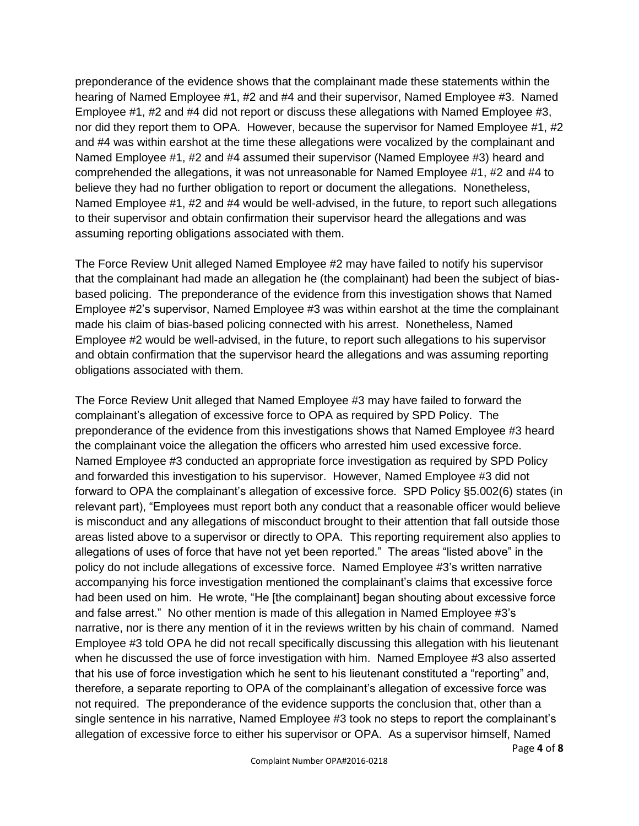preponderance of the evidence shows that the complainant made these statements within the hearing of Named Employee #1, #2 and #4 and their supervisor, Named Employee #3. Named Employee #1, #2 and #4 did not report or discuss these allegations with Named Employee #3, nor did they report them to OPA. However, because the supervisor for Named Employee #1, #2 and #4 was within earshot at the time these allegations were vocalized by the complainant and Named Employee #1, #2 and #4 assumed their supervisor (Named Employee #3) heard and comprehended the allegations, it was not unreasonable for Named Employee #1, #2 and #4 to believe they had no further obligation to report or document the allegations. Nonetheless, Named Employee #1, #2 and #4 would be well-advised, in the future, to report such allegations to their supervisor and obtain confirmation their supervisor heard the allegations and was assuming reporting obligations associated with them.

The Force Review Unit alleged Named Employee #2 may have failed to notify his supervisor that the complainant had made an allegation he (the complainant) had been the subject of biasbased policing. The preponderance of the evidence from this investigation shows that Named Employee #2's supervisor, Named Employee #3 was within earshot at the time the complainant made his claim of bias-based policing connected with his arrest. Nonetheless, Named Employee #2 would be well-advised, in the future, to report such allegations to his supervisor and obtain confirmation that the supervisor heard the allegations and was assuming reporting obligations associated with them.

The Force Review Unit alleged that Named Employee #3 may have failed to forward the complainant's allegation of excessive force to OPA as required by SPD Policy. The preponderance of the evidence from this investigations shows that Named Employee #3 heard the complainant voice the allegation the officers who arrested him used excessive force. Named Employee #3 conducted an appropriate force investigation as required by SPD Policy and forwarded this investigation to his supervisor. However, Named Employee #3 did not forward to OPA the complainant's allegation of excessive force. SPD Policy §5.002(6) states (in relevant part), "Employees must report both any conduct that a reasonable officer would believe is misconduct and any allegations of misconduct brought to their attention that fall outside those areas listed above to a supervisor or directly to OPA. This reporting requirement also applies to allegations of uses of force that have not yet been reported." The areas "listed above" in the policy do not include allegations of excessive force. Named Employee #3's written narrative accompanying his force investigation mentioned the complainant's claims that excessive force had been used on him. He wrote, "He [the complainant] began shouting about excessive force and false arrest." No other mention is made of this allegation in Named Employee #3's narrative, nor is there any mention of it in the reviews written by his chain of command. Named Employee #3 told OPA he did not recall specifically discussing this allegation with his lieutenant when he discussed the use of force investigation with him. Named Employee #3 also asserted that his use of force investigation which he sent to his lieutenant constituted a "reporting" and, therefore, a separate reporting to OPA of the complainant's allegation of excessive force was not required. The preponderance of the evidence supports the conclusion that, other than a single sentence in his narrative, Named Employee #3 took no steps to report the complainant's allegation of excessive force to either his supervisor or OPA. As a supervisor himself, Named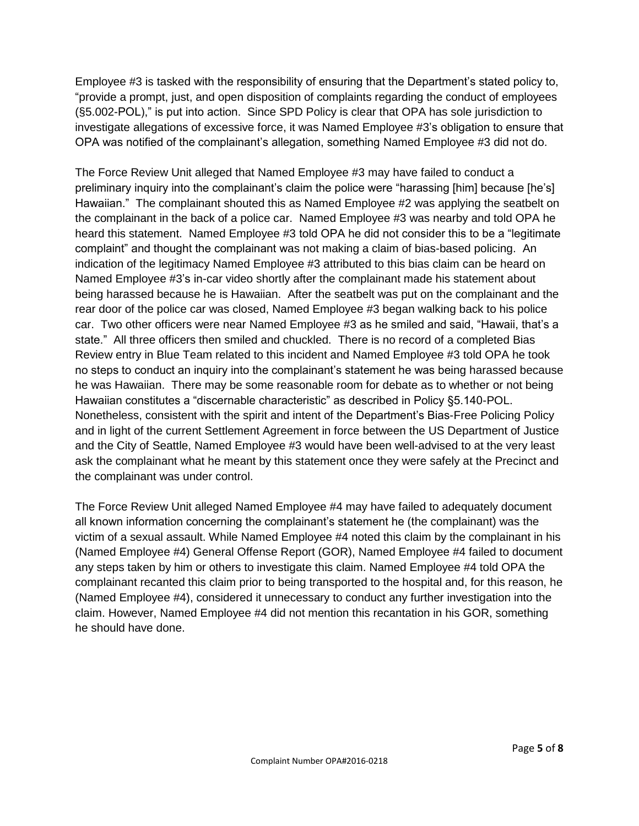Employee #3 is tasked with the responsibility of ensuring that the Department's stated policy to, "provide a prompt, just, and open disposition of complaints regarding the conduct of employees (§5.002-POL)," is put into action. Since SPD Policy is clear that OPA has sole jurisdiction to investigate allegations of excessive force, it was Named Employee #3's obligation to ensure that OPA was notified of the complainant's allegation, something Named Employee #3 did not do.

The Force Review Unit alleged that Named Employee #3 may have failed to conduct a preliminary inquiry into the complainant's claim the police were "harassing [him] because [he's] Hawaiian." The complainant shouted this as Named Employee #2 was applying the seatbelt on the complainant in the back of a police car. Named Employee #3 was nearby and told OPA he heard this statement. Named Employee #3 told OPA he did not consider this to be a "legitimate complaint" and thought the complainant was not making a claim of bias-based policing. An indication of the legitimacy Named Employee #3 attributed to this bias claim can be heard on Named Employee #3's in-car video shortly after the complainant made his statement about being harassed because he is Hawaiian. After the seatbelt was put on the complainant and the rear door of the police car was closed, Named Employee #3 began walking back to his police car. Two other officers were near Named Employee #3 as he smiled and said, "Hawaii, that's a state." All three officers then smiled and chuckled. There is no record of a completed Bias Review entry in Blue Team related to this incident and Named Employee #3 told OPA he took no steps to conduct an inquiry into the complainant's statement he was being harassed because he was Hawaiian. There may be some reasonable room for debate as to whether or not being Hawaiian constitutes a "discernable characteristic" as described in Policy §5.140-POL. Nonetheless, consistent with the spirit and intent of the Department's Bias-Free Policing Policy and in light of the current Settlement Agreement in force between the US Department of Justice and the City of Seattle, Named Employee #3 would have been well-advised to at the very least ask the complainant what he meant by this statement once they were safely at the Precinct and the complainant was under control.

The Force Review Unit alleged Named Employee #4 may have failed to adequately document all known information concerning the complainant's statement he (the complainant) was the victim of a sexual assault. While Named Employee #4 noted this claim by the complainant in his (Named Employee #4) General Offense Report (GOR), Named Employee #4 failed to document any steps taken by him or others to investigate this claim. Named Employee #4 told OPA the complainant recanted this claim prior to being transported to the hospital and, for this reason, he (Named Employee #4), considered it unnecessary to conduct any further investigation into the claim. However, Named Employee #4 did not mention this recantation in his GOR, something he should have done.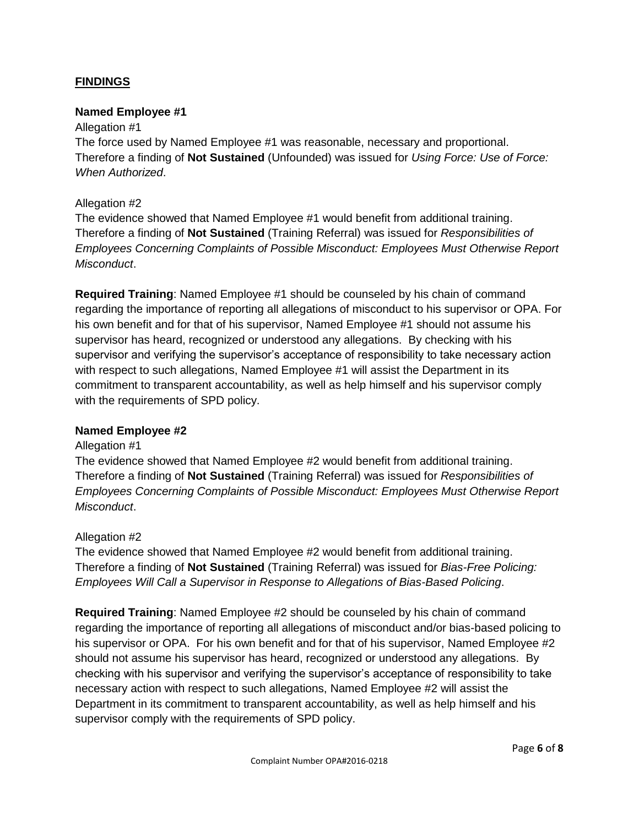# **FINDINGS**

#### **Named Employee #1**

#### Allegation #1

The force used by Named Employee #1 was reasonable, necessary and proportional. Therefore a finding of **Not Sustained** (Unfounded) was issued for *Using Force: Use of Force: When Authorized*.

#### Allegation #2

The evidence showed that Named Employee #1 would benefit from additional training. Therefore a finding of **Not Sustained** (Training Referral) was issued for *Responsibilities of Employees Concerning Complaints of Possible Misconduct: Employees Must Otherwise Report Misconduct*.

**Required Training**: Named Employee #1 should be counseled by his chain of command regarding the importance of reporting all allegations of misconduct to his supervisor or OPA. For his own benefit and for that of his supervisor, Named Employee #1 should not assume his supervisor has heard, recognized or understood any allegations. By checking with his supervisor and verifying the supervisor's acceptance of responsibility to take necessary action with respect to such allegations, Named Employee #1 will assist the Department in its commitment to transparent accountability, as well as help himself and his supervisor comply with the requirements of SPD policy.

#### **Named Employee #2**

#### Allegation #1

The evidence showed that Named Employee #2 would benefit from additional training. Therefore a finding of **Not Sustained** (Training Referral) was issued for *Responsibilities of Employees Concerning Complaints of Possible Misconduct: Employees Must Otherwise Report Misconduct*.

#### Allegation #2

The evidence showed that Named Employee #2 would benefit from additional training. Therefore a finding of **Not Sustained** (Training Referral) was issued for *Bias-Free Policing: Employees Will Call a Supervisor in Response to Allegations of Bias-Based Policing*.

**Required Training**: Named Employee #2 should be counseled by his chain of command regarding the importance of reporting all allegations of misconduct and/or bias-based policing to his supervisor or OPA. For his own benefit and for that of his supervisor, Named Employee #2 should not assume his supervisor has heard, recognized or understood any allegations. By checking with his supervisor and verifying the supervisor's acceptance of responsibility to take necessary action with respect to such allegations, Named Employee #2 will assist the Department in its commitment to transparent accountability, as well as help himself and his supervisor comply with the requirements of SPD policy.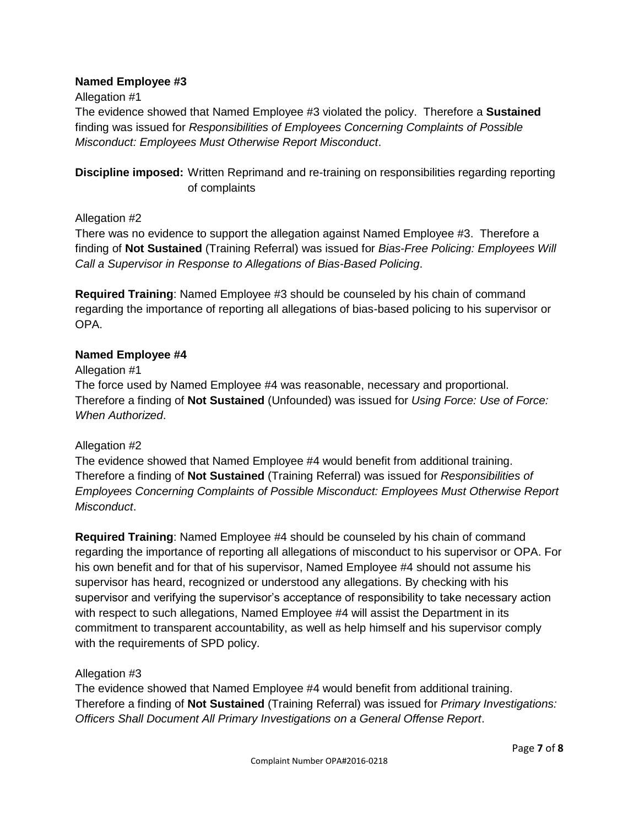### **Named Employee #3**

### Allegation #1

The evidence showed that Named Employee #3 violated the policy. Therefore a **Sustained** finding was issued for *Responsibilities of Employees Concerning Complaints of Possible Misconduct: Employees Must Otherwise Report Misconduct*.

**Discipline imposed:** Written Reprimand and re-training on responsibilities regarding reporting of complaints

# Allegation #2

There was no evidence to support the allegation against Named Employee #3. Therefore a finding of **Not Sustained** (Training Referral) was issued for *Bias-Free Policing: Employees Will Call a Supervisor in Response to Allegations of Bias-Based Policing*.

**Required Training**: Named Employee #3 should be counseled by his chain of command regarding the importance of reporting all allegations of bias-based policing to his supervisor or OPA.

# **Named Employee #4**

# Allegation #1

The force used by Named Employee #4 was reasonable, necessary and proportional. Therefore a finding of **Not Sustained** (Unfounded) was issued for *Using Force: Use of Force: When Authorized*.

# Allegation #2

The evidence showed that Named Employee #4 would benefit from additional training. Therefore a finding of **Not Sustained** (Training Referral) was issued for *Responsibilities of Employees Concerning Complaints of Possible Misconduct: Employees Must Otherwise Report Misconduct*.

**Required Training**: Named Employee #4 should be counseled by his chain of command regarding the importance of reporting all allegations of misconduct to his supervisor or OPA. For his own benefit and for that of his supervisor, Named Employee #4 should not assume his supervisor has heard, recognized or understood any allegations. By checking with his supervisor and verifying the supervisor's acceptance of responsibility to take necessary action with respect to such allegations, Named Employee #4 will assist the Department in its commitment to transparent accountability, as well as help himself and his supervisor comply with the requirements of SPD policy.

# Allegation #3

The evidence showed that Named Employee #4 would benefit from additional training. Therefore a finding of **Not Sustained** (Training Referral) was issued for *Primary Investigations: Officers Shall Document All Primary Investigations on a General Offense Report*.